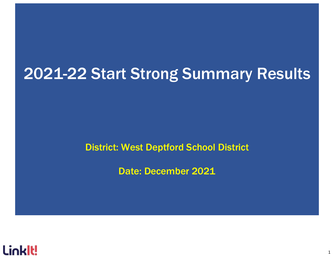## 2021-22 Start Strong Summary Results

District: West Deptford School District

Date: December 2021

1

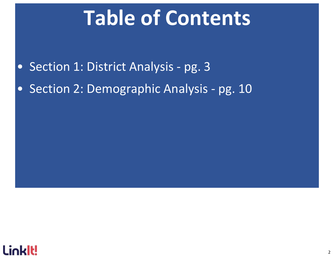# Table of Contents

- Section 1: District Analysis pg. 3
- Section 2: Demographic Analysis pg. 10

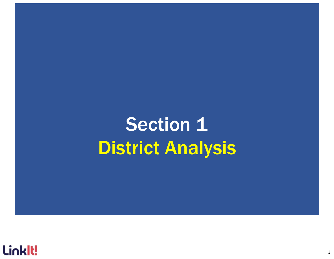# Section 1 District Analysis

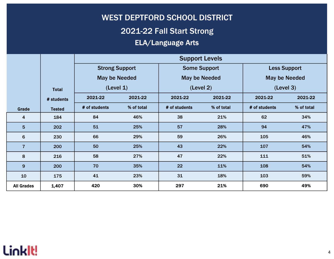## WEST DEPTFORD SCHOOL DISTRICT 2021-22 Fall Start Strong ELA/Language Arts

|                   |               |                                 |            | <b>Support Levels</b> |            |                      |                     |  |
|-------------------|---------------|---------------------------------|------------|-----------------------|------------|----------------------|---------------------|--|
|                   |               | <b>Strong Support</b>           |            | <b>Some Support</b>   |            |                      | <b>Less Support</b> |  |
|                   |               | <b>May be Needed</b>            |            | <b>May be Needed</b>  |            | <b>May be Needed</b> |                     |  |
|                   | <b>Total</b>  | (Level 1)<br>2021-22<br>2021-22 |            | (Level 2)             |            |                      | (Level 3)           |  |
|                   | # students    |                                 |            | 2021-22               | 2021-22    |                      | 2021-22             |  |
| Grade             | <b>Tested</b> | # of students                   | % of total |                       | % of total | # of students        | % of total          |  |
| 4                 | 184           | 84                              | 46%        | 38                    | 21%        | 62                   | 34%                 |  |
| 5                 | 202           | 51                              | 25%        | 57                    | 28%        | 94                   | 47%                 |  |
| 6                 | 230           | 66                              | 29%        | 59                    | 26%        | 105                  | 46%                 |  |
| $\overline{7}$    | 200           | 50                              | 25%        | 43                    | 22%        | 107                  | 54%                 |  |
| 8                 | 216           | 58                              | 27%        | 47                    | 22%        | 111                  | 51%                 |  |
| 9                 | 200           | 70                              | 35%        | 22                    | 11%        | 108                  | 54%                 |  |
| 10                | 175           | 41<br>23%                       |            | 31                    | 18%        | 103                  | 59%                 |  |
| <b>All Grades</b> | 1,407         | 420                             | 30%        | 297                   | 21%        | 690                  | 49%                 |  |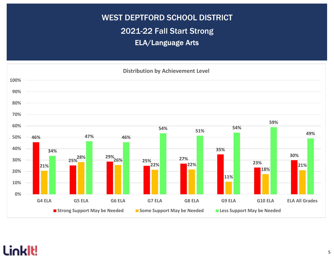## WEST DEPTFORD SCHOOL DISTRICT 2021-22 Fall Start Strong ELA/Language Arts

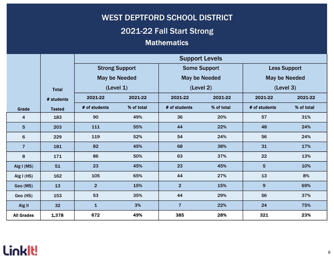## **Mathematics** WEST DEPTFORD SCHOOL DISTRICT 2021-22 Fall Start Strong

|                         |               |                       |            | <b>Support Levels</b> |            |                      |            |  |
|-------------------------|---------------|-----------------------|------------|-----------------------|------------|----------------------|------------|--|
|                         |               | <b>Strong Support</b> |            | <b>Some Support</b>   |            | <b>Less Support</b>  |            |  |
|                         |               | <b>May be Needed</b>  |            | <b>May be Needed</b>  |            | <b>May be Needed</b> |            |  |
|                         | <b>Total</b>  | (Level 1)             |            | (Level 2)             |            | (Level 3)            |            |  |
|                         | # students    | 2021-22               | 2021-22    |                       | 2021-22    | 2021-22              | 2021-22    |  |
| Grade                   | <b>Tested</b> | # of students         | % of total | # of students         | % of total | # of students        | % of total |  |
| $\overline{\mathbf{4}}$ | 183           | 90                    | 49%        | 36                    | 20%        | 57                   | 31%        |  |
| 5                       | 203           | 111                   | 55%        | 44                    | 22%        | 48                   | 24%        |  |
| $6\phantom{1}$          | 229           | 119                   | 52%        | 54                    | 24%        | 56                   | 24%        |  |
| $\overline{7}$          | 181           | 82                    | 45%        | 68                    | 38%        | 31                   | 17%        |  |
| 8                       | 171           | 86                    | 50%        | 63                    | 37%        | 22                   | 13%        |  |
| Alg I (MS)              | 51            | 23                    | 45%        | 23                    | 45%        | $5\phantom{1}$       | 10%        |  |
| Alg $I(HS)$             | 162           | 105                   | 65%        | 44                    | 27%        | 13                   | 8%         |  |
| Geo (MS)                | 13            | $\overline{2}$        | 15%        | $\overline{2}$        | 15%        | $\mathbf{9}$         | 69%        |  |
| Geo (HS)                | 153           | 53                    | 35%        | 44                    | 29%        | 56                   | 37%        |  |
| Alg II                  | 32            | $\mathbf{1}$          | 3%         | $\overline{7}$        | 22%        | 24                   | 75%        |  |
| <b>All Grades</b>       | 1,378         | 672                   | 49%        | 385                   | 28%        | 321                  | 23%        |  |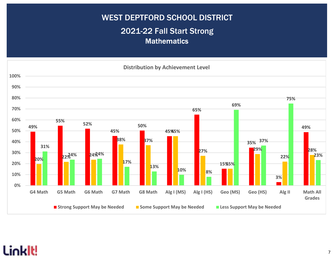### WEST DEPTFORD SCHOOL DISTRICT 2021-22 Fall Start Strong **Mathematics**

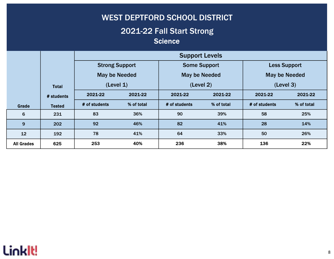#### 2021-22 Fall Start Strong **Science**

|                   |               |                       |            | <b>Support Levels</b> |            |                     |            |  |
|-------------------|---------------|-----------------------|------------|-----------------------|------------|---------------------|------------|--|
|                   |               | <b>Strong Support</b> |            | <b>Some Support</b>   |            | <b>Less Support</b> |            |  |
|                   |               | May be Needed         |            | May be Needed         |            | May be Needed       |            |  |
|                   | <b>Total</b>  | (Level 1)             |            | (Level 2)             |            | (Level 3)           |            |  |
|                   | # students    | 2021-22<br>2021-22    |            | 2021-22               | 2021-22    | 2021-22             | 2021-22    |  |
| Grade             | <b>Tested</b> | # of students         | % of total |                       | % of total | # of students       | % of total |  |
| 6                 | 231           | 83                    | 36%        | 90                    | 39%        | 58                  | 25%        |  |
| 9                 | 202           | 92                    | 46%        | 82                    | 41%        | 28                  | 14%        |  |
| 12                | 192           | 78                    | 41%        | 64                    | 33%        | 50                  | 26%        |  |
| <b>All Grades</b> | 625           | 253                   | 40%        | 236                   | 38%        | 136                 | 22%        |  |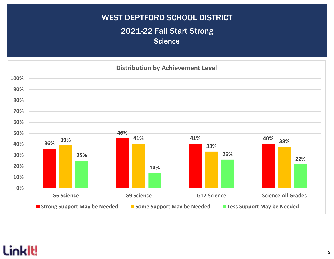## WEST DEPTFORD SCHOOL DISTRICT 2021-22 Fall Start Strong **Science**

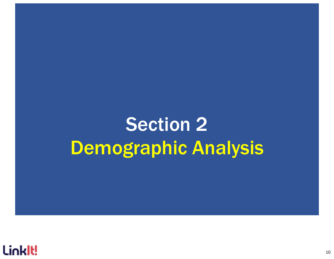# Section 2 Demographic Analysis

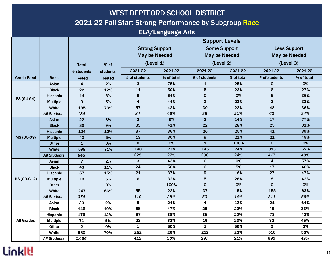## WEST DEPTFORD SCHOOL DISTRICT 2021-22 Fall Start Strong Performance by Subgroup Race

#### ELA/Language Arts

|                    |                     |                         |                 | <b>Support Levels</b> |            |                         |            |                      |            |
|--------------------|---------------------|-------------------------|-----------------|-----------------------|------------|-------------------------|------------|----------------------|------------|
|                    |                     |                         |                 | <b>Strong Support</b> |            | <b>Some Support</b>     |            | <b>Less Support</b>  |            |
|                    |                     |                         |                 | <b>May be Needed</b>  |            | <b>May be Needed</b>    |            | <b>May be Needed</b> |            |
|                    |                     |                         |                 | (Level 1)             |            | (Level 2)               |            | (Level 3)            |            |
|                    |                     | <b>Total</b>            | % of            |                       |            |                         |            |                      |            |
|                    |                     | # students              | <b>students</b> | 2021-22               | 2021-22    | 2021-22                 | 2021-22    | 2021-22              | 2021-22    |
| <b>Grade Band</b>  | Race                | <b>Tested</b>           | <b>Tested</b>   | # of students         | % of total | # of students           | % of total | # of students        | % of total |
|                    | Asian               | 4                       | 2%              | 3                     | 75%        | $\mathbf{1}$            | 25%        | $\pmb{0}$            | 0%         |
|                    | <b>Black</b>        | 22                      | 12%             | 11                    | 50%        | 5                       | 23%        | 6                    | 27%        |
| ES (G4-G4)         | Hispanic            | 14                      | 8%              | $\boldsymbol{9}$      | 64%        | $\mathbf 0$             | 0%         | 5                    | 36%        |
|                    | <b>Multiple</b>     | 9                       | 5%              | 4                     | 44%        | $\overline{2}$          | 22%        | 3                    | 33%        |
|                    | White               | 135                     | 73%             | 57                    | 42%        | 30                      | 22%        | 48                   | 36%        |
|                    | <b>All Students</b> | 184                     |                 | 84                    | 46%        | 38                      | 21%        | 62                   | 34%        |
|                    | Asian               | 22                      | 3%              | $\overline{2}$        | 9%         | $\mathbf{3}$            | 14%        | 17                   | 77%        |
|                    | <b>Black</b>        | 80                      | 9%              | 33                    | 41%        | 22                      | 28%        | 25                   | 31%        |
| <b>MS (G5-G8)</b>  | <b>Hispanic</b>     | 104                     | 12%             | 37                    | 36%        | 26                      | 25%        | 41                   | 39%        |
|                    | <b>Multiple</b>     | 43                      | 5%              | 13                    | 30%        | $\mathbf{9}$            | 21%        | 21                   | 49%        |
|                    | <b>Other</b>        | $\mathbf{1}$            | 0%              | $\mathbf 0$           | 0%         | $\mathbf{1}$            | 100%       | $\Omega$             | 0%         |
|                    | White               | 598                     | 71%             | 140                   | 23%        | 145                     | 24%        | 313                  | 52%        |
|                    | <b>All Students</b> | 848                     |                 | 225                   | 27%        | 206                     | 24%        | 417                  | 49%        |
|                    | Asian               | $\overline{7}$          | 2%              | 3                     | 43%        | $\pmb{0}$               | 0%         | 4                    | 57%        |
|                    | <b>Black</b>        | 43                      | 11%             | 24                    | 56%        | $\overline{2}$          | 5%         | 17                   | 40%        |
|                    | Hispanic            | 57                      | 15%             | 21                    | 37%        | $\boldsymbol{9}$        | 16%        | 27                   | 47%        |
| <b>HS (G9-G12)</b> | <b>Multiple</b>     | 19                      | 5%              | $6\phantom{1}$        | 32%        | 5                       | 26%        | 8                    | 42%        |
|                    | Other               | $\mathbf{1}$            | 0%              | $\mathbf{1}$          | 100%       | $\mathbf 0$             | 0%         | $\mathbf 0$          | 0%         |
|                    | White               | 247                     | 66%             | 55                    | 22%        | 37                      | 15%        | 155                  | 63%        |
|                    | <b>All Students</b> | 374                     |                 | 110                   | 29%        | 53                      | 14%        | 211                  | 56%        |
|                    | Asian               | 33                      | 2%              | 8                     | 24%        | $\overline{\mathbf{4}}$ | 12%        | 21                   | 64%        |
|                    | <b>Black</b>        | 145                     | 10%             | 68                    | 47%        | 29                      | 20%        | 48                   | 33%        |
|                    | <b>Hispanic</b>     | 175                     | 12%             | 67                    | 38%        | 35                      | 20%        | 73                   | 42%        |
| <b>All Grades</b>  | <b>Multiple</b>     | $71$                    | 5%              | 23                    | 32%        | 16                      | 23%        | 32                   | 45%        |
|                    | <b>Other</b>        | $\overline{\mathbf{2}}$ | 0%              | $\mathbf{1}$          | 50%        | $\mathbf{1}$            | 50%        | $\mathbf 0$          | 0%         |
|                    | <b>White</b>        | 980                     | 70%             | 252                   | 26%        | 212                     | 22%        | 516                  | 53%        |
|                    | <b>All Students</b> | 1,406                   |                 | 419                   | 30%        | 297                     | 21%        | 690                  | 49%        |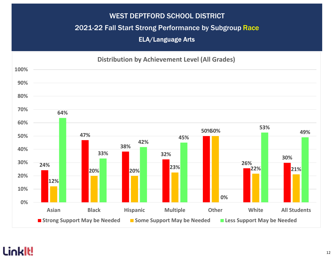#### 2021-22 Fall Start Strong Performance by Subgroup Race

ELA/Language Arts

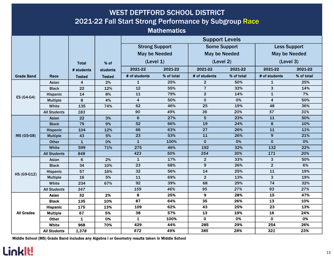### WEST DEPTFORD SCHOOL DISTRICT 2021-22 Fall Start Strong Performance by Subgroup Race

**Mathematics** 

|                    |                          |                |                     | <b>Support Levels</b> |            |                      |            |                         |            |  |  |
|--------------------|--------------------------|----------------|---------------------|-----------------------|------------|----------------------|------------|-------------------------|------------|--|--|
|                    |                          |                |                     | <b>Strong Support</b> |            | <b>Some Support</b>  |            | <b>Less Support</b>     |            |  |  |
|                    |                          |                |                     | <b>May be Needed</b>  |            | <b>May be Needed</b> |            | <b>May be Needed</b>    |            |  |  |
|                    |                          | <b>Total</b>   | % of                | (Level 1)             |            | (Level 2)            |            | (Level 3)               |            |  |  |
|                    |                          | # students     | <b>students</b>     | 2021-22               | 2021-22    | 2021-22              | 2021-22    | 2021-22                 | 2021-22    |  |  |
| <b>Grade Band</b>  |                          |                |                     | # of students         | % of total | # of students        | % of total | # of students           | % of total |  |  |
|                    | Race                     | <b>Tested</b>  | <b>Tested</b><br>2% | $\mathbf{1}$          | 25%        | $\overline{2}$       | 50%        | $\mathbf{1}$            | 25%        |  |  |
|                    | Asian<br><b>Black</b>    | 4<br>22        | 12%                 | 12                    | 55%        | $\overline{7}$       | 32%        | 3                       | 14%        |  |  |
|                    |                          | 14             | 8%                  | 11                    | 79%        | $\overline{2}$       | 14%        | $\mathbf{1}$            | 7%         |  |  |
| ES (G4-G4)         | Hispanic                 | 8              | 4%                  | 4                     | 50%        | $\mathbf 0$          | 0%         | $\overline{\mathbf{4}}$ | 50%        |  |  |
|                    | <b>Multiple</b><br>White | 135            | 74%                 | 62                    | 46%        | 25                   | 19%        | 48                      | 36%        |  |  |
|                    | <b>All Students</b>      | 183            |                     | 90                    | 49%        | 36                   | 20%        | 57                      | 31%        |  |  |
|                    | Asian                    | 22             | 3%                  | $6\phantom{1}$        | 27%        | 5                    | 23%        | 11                      | 50%        |  |  |
|                    | <b>Black</b>             | 79             | 9%                  | 52                    | 66%        | 19                   | 24%        | 8                       | 10%        |  |  |
| <b>MS (G5-G8)</b>  | <b>Hispanic</b>          | 104            | 12%                 | 66                    | 63%        | 27                   | 26%        | 11                      | 11%        |  |  |
|                    | <b>Multiple</b>          | 43             | 5%                  | 23                    | 53%        | 11                   | 26%        | $\boldsymbol{9}$        | 21%        |  |  |
|                    | <b>Other</b>             | $\mathbf{1}$   | 0%                  | $\mathbf{1}$          | 100%       | $\mathbf 0$          | 0%         | $\mathbf 0$             | 0%         |  |  |
|                    | White                    | 599            | 71%                 | 275                   | 46%        | 192                  | 32%        | 132                     | 22%        |  |  |
|                    | <b>All Students</b>      | 848            |                     | 423                   | 50%        | 254                  | 30%        | 171                     | 20%        |  |  |
|                    | Asian                    | $6\phantom{1}$ | 2%                  | $\mathbf{1}$          | 17%        | $\overline{2}$       | 33%        | 3                       | 50%        |  |  |
|                    | <b>Black</b>             | 34             | 10%                 | 23                    | 68%        | 9                    | 26%        | $\overline{2}$          | 6%         |  |  |
|                    | Hispanic                 | 57             | 16%                 | 32                    | 56%        | 14                   | 25%        | 11                      | 19%        |  |  |
| <b>HS (G9-G12)</b> | <b>Multiple</b>          | 16             | 5%                  | 11                    | 69%        | $\overline{2}$       | 13%        | $\overline{3}$          | 19%        |  |  |
|                    | White                    | 234            | 67%                 | 92                    | 39%        | 68                   | 29%        | 74                      | 32%        |  |  |
|                    | <b>All Students</b>      | 347            |                     | 159                   | 46%        | 95                   | 27%        | 93                      | 27%        |  |  |
|                    | <b>Asian</b>             | 32             | 2%                  | 8                     | 25%        | 9                    | 28%        | 15                      | 47%        |  |  |
|                    | <b>Black</b>             | 135            | 10%                 | 87                    | 64%        | 35                   | 26%        | 13                      | 10%        |  |  |
|                    | <b>Hispanic</b>          | 175            | 13%                 | 109                   | 62%        | 43                   | 25%        | 23                      | 13%        |  |  |
| <b>All Grades</b>  | <b>Multiple</b>          | 67             | 5%                  | 38                    | 57%        | 13                   | 19%        | 16                      | 24%        |  |  |
|                    | <b>Other</b>             | $\mathbf{1}$   | 0%                  | $\mathbf{1}$          | 100%       | $\mathbf{o}$         | 0%         | $\mathbf{o}$            | 0%         |  |  |
|                    | <b>White</b>             | 968            | 70%                 | 429                   | 44%        | 285                  | 29%        | 254                     | 26%        |  |  |
|                    | <b>All Students</b>      | 1,378          |                     | 672                   | 49%        | 385                  | 28%        | 321                     | 23%        |  |  |

Middle School (MS) Grade Band includes any Algebra I or Geometry results taken in Middle School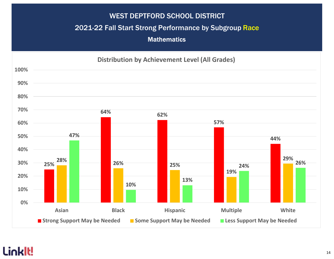#### 2021-22 Fall Start Strong Performance by Subgroup Race

**Mathematics** 

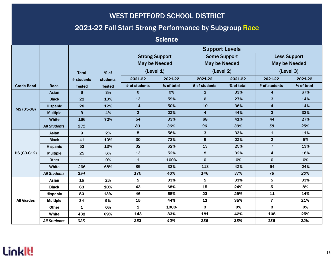#### 2021-22 Fall Start Strong Performance by Subgroup Race

**Science** 

|                    |                     |               |                 |                       | <b>Support Levels</b> |                         |            |                         |            |  |  |
|--------------------|---------------------|---------------|-----------------|-----------------------|-----------------------|-------------------------|------------|-------------------------|------------|--|--|
|                    |                     |               |                 | <b>Strong Support</b> |                       | <b>Some Support</b>     |            | <b>Less Support</b>     |            |  |  |
|                    |                     |               |                 | <b>May be Needed</b>  |                       | <b>May be Needed</b>    |            | <b>May be Needed</b>    |            |  |  |
|                    |                     | <b>Total</b>  | % of            | (Level 1)             |                       | (Level 2)               |            | (Level 3)               |            |  |  |
|                    |                     | # students    | <b>students</b> | 2021-22               | 2021-22               | 2021-22                 | 2021-22    | 2021-22                 | 2021-22    |  |  |
| <b>Grade Band</b>  | Race                | <b>Tested</b> | <b>Tested</b>   | # of students         | % of total            | # of students           | % of total | # of students           | % of total |  |  |
|                    | Asian               | 6             | 3%              | $\mathbf 0$           | 0%                    | $\overline{2}$          | 33%        | $\overline{\mathbf{4}}$ | 67%        |  |  |
|                    | <b>Black</b>        | 22            | 10%             | 13                    | 59%                   | $6\phantom{1}$          | 27%        | 3                       | 14%        |  |  |
|                    | <b>Hispanic</b>     | 28            | 12%             | 14                    | 50%                   | 10                      | 36%        | $\overline{\mathbf{4}}$ | 14%        |  |  |
| <b>MS (G5-G8)</b>  | <b>Multiple</b>     | 9             | 4%              | $\overline{2}$        | 22%                   | $\overline{\mathbf{4}}$ | 44%        | 3                       | 33%        |  |  |
|                    | White               | 166           | 72%             | 54                    | 33%                   | 68                      | 41%        | 44                      | 27%        |  |  |
|                    | <b>All Students</b> | 231           |                 | 83                    | 36%                   | 90                      | 39%        | 58                      | 25%        |  |  |
|                    | Asian               | 9             | 2%              | 5                     | 56%                   | 3                       | 33%        | 1                       | 11%        |  |  |
|                    | <b>Black</b>        | 41            | 10%             | 30                    | 73%                   | $\boldsymbol{9}$        | 22%        | $\overline{2}$          | 5%         |  |  |
|                    | Hispanic            | 52            | 13%             | 32                    | 62%                   | 13                      | 25%        | $\overline{7}$          | 13%        |  |  |
| <b>HS (G9-G12)</b> | <b>Multiple</b>     | 25            | 6%              | 13                    | 52%                   | 8                       | 32%        | 4                       | 16%        |  |  |
|                    | Other               | $\mathbf{1}$  | 0%              | $\mathbf{1}$          | 100%                  | $\pmb{0}$               | 0%         | $\mathbf 0$             | 0%         |  |  |
|                    | White               | 266           | 68%             | 89                    | 33%                   | 113                     | 42%        | 64                      | 24%        |  |  |
|                    | <b>All Students</b> | 394           |                 | 170                   | 43%                   | 146                     | 37%        | 78                      | 20%        |  |  |
|                    | <b>Asian</b>        | 15            | 2%              | 5                     | 33%                   | 5                       | 33%        | $\overline{\mathbf{5}}$ | 33%        |  |  |
|                    | <b>Black</b>        | 63            | 10%             | 43                    | 68%                   | 15                      | 24%        | 5                       | 8%         |  |  |
|                    | <b>Hispanic</b>     | 80            | 13%             | 46                    | 58%                   | 23                      | 29%        | 11                      | 14%        |  |  |
| <b>All Grades</b>  | <b>Multiple</b>     | 34            | 5%              | 15                    | 44%                   | 12                      | 35%        | $\overline{7}$          | 21%        |  |  |
|                    | <b>Other</b>        | $\mathbf{1}$  | 0%              | 1                     | 100%                  | $\mathbf 0$             | 0%         | $\mathbf 0$             | 0%         |  |  |
|                    | <b>White</b>        | 432           | 69%             | 143                   | 33%                   | 181                     | 42%        | 108                     | 25%        |  |  |
|                    | <b>All Students</b> | 625           |                 | 253                   | 40%                   | 236                     | 38%        | 136                     | 22%        |  |  |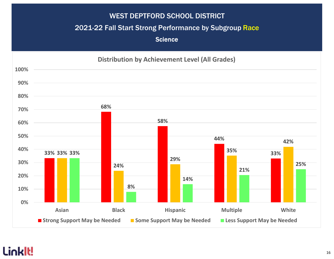#### 2021-22 Fall Start Strong Performance by Subgroup Race

**Science** 

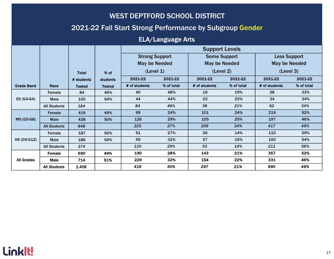#### 2021-22 Fall Start Strong Performance by Subgroup Gender

#### ELA/Language Arts

|                    |                     |              |                 | <b>Support Levels</b> |                      |                     |                    |                      |            |  |
|--------------------|---------------------|--------------|-----------------|-----------------------|----------------------|---------------------|--------------------|----------------------|------------|--|
|                    |                     |              |                 | <b>Strong Support</b> |                      | <b>Some Support</b> |                    | <b>Less Support</b>  |            |  |
|                    |                     |              |                 |                       | <b>May be Needed</b> |                     | May be Needed      | <b>May be Needed</b> |            |  |
|                    |                     | <b>Total</b> | % of            |                       | (Level 1)            |                     | (Level 2)          | (Level 3)            |            |  |
|                    |                     | # students   | <b>students</b> | 2021-22               | 2021-22              |                     | 2021-22<br>2021-22 |                      | 2021-22    |  |
| <b>Grade Band</b>  | Race                | Tested       | <b>Tested</b>   | # of students         | % of total           | # of students       | % of total         | # of students        | % of total |  |
|                    | Female              | 84           | 46%             | 40                    | 48%                  | 16                  | 19%                | 28                   | 33%        |  |
| ES (G4-G4)         | Male                | 100          | 54%             | 44                    | 44%                  | 22                  | 22%                | 34                   | 34%        |  |
|                    | <b>All Students</b> | 184          |                 | 84                    | 46%                  | 38                  | 21%                | 62                   | 34%        |  |
|                    | <b>Female</b>       | 419          | 49%             | 99                    | 24%                  | 101                 | 24%                | 219                  | 52%        |  |
| <b>MS (G5-G8)</b>  | <b>Male</b>         | 428          | 50%             | 126                   | 29%                  | 105                 | 25%                | 197                  | 46%        |  |
|                    | <b>All Students</b> | 848          |                 | 225                   | 27%                  | 206                 | 24%                | 417                  | 49%        |  |
|                    | Female              | 187          | 50%             | 51                    | 27%                  | 26                  | 14%                | 110                  | 59%        |  |
| <b>HS (G9-G12)</b> | <b>Male</b>         | 186          | 50%             | 59                    | 32%                  | 27                  | 15%                | 100                  | 54%        |  |
|                    | <b>All Students</b> | 374          |                 | 110                   | 29%                  | 53                  | 14%                | 211                  | 56%        |  |
|                    | Female              | 690          | 49%             | 190                   | 28%                  | 143                 | 21%                | 357                  | 52%        |  |
| <b>All Grades</b>  | Male                | 714          | 51%             | 229                   | 32%                  | 154                 | 22%                | 331                  | 46%        |  |
|                    | <b>All Students</b> | 1,406        |                 | 419                   | 30%                  | 297                 | 21%                | 690                  | 49%        |  |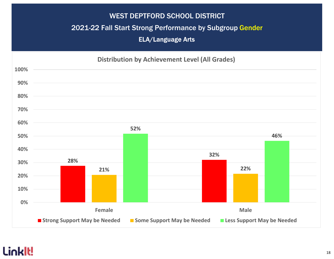#### 2021-22 Fall Start Strong Performance by Subgroup Gender

ELA/Language Arts

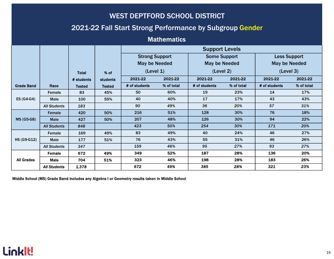#### 2021-22 Fall Start Strong Performance by Subgroup Gender

#### **Mathematics**

|                    |                     |              |                 | <b>Support Levels</b> |                      |                     |                      |                      |            |  |
|--------------------|---------------------|--------------|-----------------|-----------------------|----------------------|---------------------|----------------------|----------------------|------------|--|
|                    |                     |              |                 | <b>Strong Support</b> |                      | <b>Some Support</b> |                      | <b>Less Support</b>  |            |  |
|                    |                     |              |                 |                       | <b>May be Needed</b> |                     | <b>May be Needed</b> | <b>May be Needed</b> |            |  |
|                    |                     | <b>Total</b> | % of            |                       | (Level 1)            |                     | (Level 2)            | (Level 3)            |            |  |
|                    |                     | # students   | <b>students</b> | 2021-22               | 2021-22              | 2021-22<br>2021-22  |                      | 2021-22              | 2021-22    |  |
| <b>Grade Band</b>  | Race                | Tested       | <b>Tested</b>   | # of students         | % of total           | # of students       | % of total           | # of students        | % of total |  |
|                    | Female              | 83           | 45%             | 50                    | 60%                  | 19                  | 23%                  | 14                   | 17%        |  |
| ES (G4-G4)         | Male                | 100          | 55%             | 40                    | 40%                  | 17                  | 17%                  | 43                   | 43%        |  |
|                    | <b>All Students</b> | 183          |                 | 90                    | 49%                  | 36                  | 20%                  | 57                   | 31%        |  |
|                    | Female              | 420          | 50%             | 216                   | 51%                  | 128                 | 30%                  | 76                   | 18%        |  |
| <b>MS (G5-G8)</b>  | <b>Male</b>         | 427          | 50%             | 207                   | 48%                  | 126                 | 30%                  | 94                   | 22%        |  |
|                    | <b>All Students</b> | 848          |                 | 423                   | 50%                  | 254                 | 30%                  | 171                  | 20%        |  |
|                    | Female              | 169          | 49%             | 83                    | 49%                  | 40                  | 24%                  | 46                   | 27%        |  |
| <b>HS (G9-G12)</b> | <b>Male</b>         | 177          | 51%             | 76                    | 43%                  | 55                  | 31%                  | 46                   | 26%        |  |
|                    | <b>All Students</b> | 347          |                 | 159                   | 46%                  | 95                  | 27%                  | 93                   | 27%        |  |
|                    | <b>Female</b>       | 672          | 49%             | 349                   | 52%                  | 187                 | 28%                  | 136                  | 20%        |  |
| <b>All Grades</b>  | <b>Male</b>         | 704          | 51%             | 323                   | 46%                  | 198                 | 28%                  | 183                  | 26%        |  |
|                    | <b>All Students</b> | 1,378        |                 | 672                   | 49%                  | 385                 | 28%                  | 321                  | 23%        |  |

Middle School (MS) Grade Band includes any Algebra I or Geometry results taken in Middle School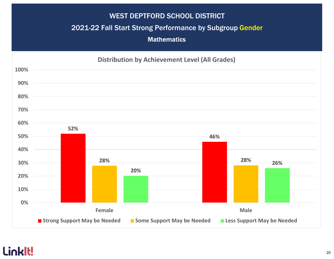#### 2021-22 Fall Start Strong Performance by Subgroup Gender

**Mathematics** 

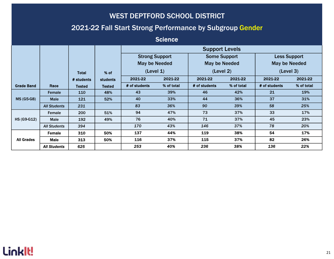#### 2021-22 Fall Start Strong Performance by Subgroup Gender

**Science** 

|                    |                     |               |                 | <b>Support Levels</b> |                       |               |                     |                      |            |  |
|--------------------|---------------------|---------------|-----------------|-----------------------|-----------------------|---------------|---------------------|----------------------|------------|--|
|                    |                     |               |                 |                       | <b>Strong Support</b> |               | <b>Some Support</b> | <b>Less Support</b>  |            |  |
|                    |                     |               |                 | <b>May be Needed</b>  |                       | May be Needed |                     | <b>May be Needed</b> |            |  |
|                    |                     | <b>Total</b>  | % of            | (Level 1)             |                       | (Level 2)     |                     | (Level 3)            |            |  |
|                    |                     | # students    | <b>students</b> | 2021-22<br>2021-22    |                       | 2021-22       | 2021-22             | 2021-22              | 2021-22    |  |
| <b>Grade Band</b>  | Race                | <b>Tested</b> | <b>Tested</b>   | # of students         | % of total            | # of students | % of total          | # of students        | % of total |  |
|                    | Female              | 110           | 48%             | 43                    | 39%                   | 46            | 42%                 | 21                   | 19%        |  |
| <b>MS (G5-G8)</b>  | <b>Male</b>         | 121           | 52%             | 40                    | 33%                   | 44            | 36%                 | 37                   | 31%        |  |
|                    | <b>All Students</b> | 231           |                 | 83                    | 36%                   | 90            | 39%                 | 58                   | 25%        |  |
|                    | Female              | 200           | 51%             | 94                    | 47%                   | 73            | 37%                 | 33                   | 17%        |  |
| <b>HS (G9-G12)</b> | <b>Male</b>         | 192           | 49%             | 76                    | 40%                   | 71            | 37%                 | 45                   | 23%        |  |
|                    | <b>All Students</b> | 394           |                 | 170                   | 43%                   | 146           | 37%                 | 78                   | 20%        |  |
| <b>All Grades</b>  | <b>Female</b>       | 310           | 50%             | 137                   | 44%                   | 119           | 38%                 | 54                   | 17%        |  |
|                    | Male                | 313           | 50%             | 116                   | 37%                   | 115           | 37%                 | 82                   | 26%        |  |
|                    | <b>All Students</b> | 625           |                 | 253                   | 40%                   | 236           | 38%                 | 136                  | 22%        |  |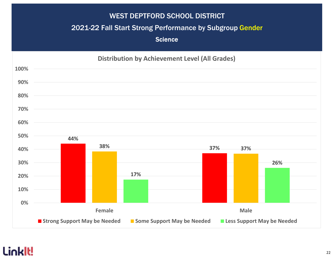#### 2021-22 Fall Start Strong Performance by Subgroup Gender

**Science** 

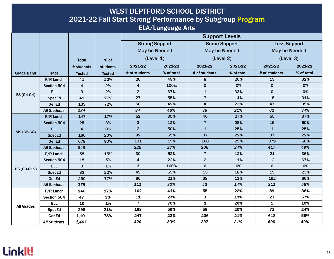|                    | <b>WEST DEPTFORD SCHOOL DISTRICT</b><br>2021-22 Fall Start Strong Performance by Subgroup Program<br><b>ELA/Language Arts</b> |                         |                 |                         |                                               |                       |                                             |               |                                             |  |  |  |  |
|--------------------|-------------------------------------------------------------------------------------------------------------------------------|-------------------------|-----------------|-------------------------|-----------------------------------------------|-----------------------|---------------------------------------------|---------------|---------------------------------------------|--|--|--|--|
|                    |                                                                                                                               |                         |                 |                         |                                               | <b>Support Levels</b> |                                             |               |                                             |  |  |  |  |
|                    |                                                                                                                               |                         |                 |                         | <b>Strong Support</b><br><b>May be Needed</b> |                       | <b>Some Support</b><br><b>May be Needed</b> |               | <b>Less Support</b><br><b>May be Needed</b> |  |  |  |  |
|                    |                                                                                                                               | <b>Total</b>            | % of            | (Level 1)               |                                               | (Level 2)             |                                             | (Level 3)     |                                             |  |  |  |  |
|                    |                                                                                                                               | # students              | <b>students</b> | 2021-22                 | 2021-22                                       | 2021-22               | 2021-22                                     | 2021-22       | 2021-22                                     |  |  |  |  |
| <b>Grade Band</b>  | Race                                                                                                                          | <b>Tested</b>           | <b>Tested</b>   | # of students           | % of total                                    | # of students         | % of total                                  | # of students | % of total                                  |  |  |  |  |
|                    | F/R Lunch                                                                                                                     | 41                      | 22%             | 20                      | 49%                                           | 8                     | 20%                                         | 13            | 32%                                         |  |  |  |  |
|                    | Section 504                                                                                                                   | $\overline{\mathbf{4}}$ | 2%              | $\overline{4}$          | 100%                                          | $\mathbf 0$           | 0%                                          | $\mathbf{0}$  | 0%                                          |  |  |  |  |
|                    | <b>ELL</b>                                                                                                                    | 3                       | 2%              | $\overline{2}$          | 67%                                           | $\mathbf{1}$          | 33%                                         | $\mathbf{0}$  | 0%                                          |  |  |  |  |
| $ES(G4-G4)$        | <b>SpecEd</b>                                                                                                                 | 49                      | 27%             | 27                      | 55%                                           | $\overline{7}$        | 14%                                         | 15            | 31%                                         |  |  |  |  |
|                    | GenEd                                                                                                                         | 133                     | 72%             | 56                      | 42%                                           | 30                    | 23%                                         | 47            | 35%                                         |  |  |  |  |
|                    | <b>All Students</b>                                                                                                           | 184                     |                 | 84                      | 46%                                           | 38                    | 21%                                         | 62            | 34%                                         |  |  |  |  |
|                    | $F/R$ Lunch                                                                                                                   | 147                     | 17%             | 52                      | 35%                                           | 40                    | 27%                                         | 55            | 37%                                         |  |  |  |  |
|                    | Section 504                                                                                                                   | 25                      | 3%              | 3                       | 12%                                           | $\overline{7}$        | 28%                                         | 15            | 60%                                         |  |  |  |  |
|                    | <b>ELL</b>                                                                                                                    | $\overline{\mathbf{4}}$ | 0%              | $\overline{2}$          | 50%                                           | $\mathbf{1}$          | 25%                                         | $\mathbf{1}$  | 25%                                         |  |  |  |  |
| <b>MS (G5-G8)</b>  | <b>SpecEd</b>                                                                                                                 | 166                     | 20%             | 92                      | 55%                                           | 37                    | 22%                                         | 37            | 22%                                         |  |  |  |  |
|                    | GenEd                                                                                                                         | 678                     | 80%             | 131                     | 19%                                           | 168                   | 25%                                         | 379           | 56%                                         |  |  |  |  |
|                    | <b>All Students</b>                                                                                                           | 848                     |                 | 225                     | 27%                                           | 206                   | 24%                                         | 417           | 49%                                         |  |  |  |  |
|                    | $F/R$ Lunch                                                                                                                   | 58                      | 15%             | 30                      | 52%                                           | $\overline{7}$        | 12%                                         | 21            | 36%                                         |  |  |  |  |
|                    | Section 504                                                                                                                   | 18                      | 5%              | $\overline{\mathbf{4}}$ | 22%                                           | $\overline{2}$        | 11%                                         | 12            | 67%                                         |  |  |  |  |
| <b>HS (G9-G12)</b> | <b>ELL</b>                                                                                                                    | 3                       | 1%              | 3                       | 100%                                          | $\mathbf 0$           | 0%                                          | $\mathbf 0$   | 0%                                          |  |  |  |  |
|                    | <b>SpecEd</b>                                                                                                                 | 83                      | 22%             | 49                      | 59%                                           | 15                    | 18%                                         | 19            | 23%                                         |  |  |  |  |
|                    | GenEd                                                                                                                         | 290                     | 77%             | 60                      | 21%                                           | 38                    | 13%                                         | 192           | 66%                                         |  |  |  |  |
|                    | <b>All Students</b>                                                                                                           | 375                     |                 | 111                     | 30%                                           | 53                    | 14%                                         | 211           | 56%                                         |  |  |  |  |
|                    | F/R Lunch                                                                                                                     | 246                     | 17%             | 102                     | 41%                                           | 55                    | 22%                                         | 89            | 36%                                         |  |  |  |  |
|                    | Section 504                                                                                                                   | 47                      | 3%              | 11                      | 23%                                           | 9                     | 19%                                         | 27            | 57%                                         |  |  |  |  |
| <b>All Grades</b>  | <b>ELL</b>                                                                                                                    | 10                      | 1%              | $\overline{\mathbf{7}}$ | 70%                                           | $\mathbf 2$           | 20%                                         | $\mathbf{1}$  | 10%                                         |  |  |  |  |
|                    | <b>SpecEd</b>                                                                                                                 | 298                     | 21%             | 168                     | 56%                                           | 59                    | 20%                                         | 71            | 24%                                         |  |  |  |  |
|                    | GenEd                                                                                                                         | 1,101                   | 78%             | 247                     | 22%                                           | 236                   | 21%                                         | 618           | 56%                                         |  |  |  |  |
|                    | <b>All Students</b>                                                                                                           | 1,407                   |                 | 420                     | 30%                                           | 297                   | 21%                                         | 690           | 49%                                         |  |  |  |  |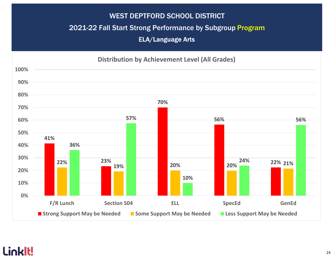#### 2021-22 Fall Start Strong Performance by Subgroup Program

ELA/Language Arts

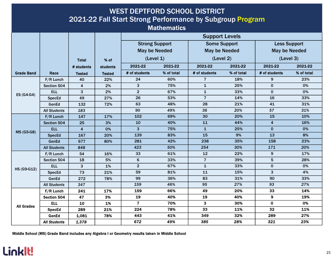| <b>WEST DEPTFORD SCHOOL DISTRICT</b><br>2021-22 Fall Start Strong Performance by Subgroup Program |                     |                         |                 |                         |                    |                       |            |                                   |            |  |  |
|---------------------------------------------------------------------------------------------------|---------------------|-------------------------|-----------------|-------------------------|--------------------|-----------------------|------------|-----------------------------------|------------|--|--|
|                                                                                                   |                     |                         |                 |                         |                    |                       |            |                                   |            |  |  |
|                                                                                                   |                     |                         |                 |                         | <b>Mathematics</b> |                       |            |                                   |            |  |  |
|                                                                                                   |                     |                         |                 |                         |                    | <b>Support Levels</b> |            |                                   |            |  |  |
|                                                                                                   |                     |                         |                 | <b>Strong Support</b>   |                    | <b>Some Support</b>   |            | <b>Less Support</b>               |            |  |  |
|                                                                                                   |                     |                         |                 | <b>May be Needed</b>    |                    | <b>May be Needed</b>  |            | <b>May be Needed</b><br>(Level 3) |            |  |  |
|                                                                                                   |                     | <b>Total</b>            | % of            | (Level 1)               |                    | (Level 2)             |            |                                   |            |  |  |
|                                                                                                   |                     | # students              | <b>students</b> | 2021-22                 | 2021-22            | 2021-22               | 2021-22    | 2021-22                           | 2021-22    |  |  |
| <b>Grade Band</b>                                                                                 | Race                | <b>Tested</b>           | <b>Tested</b>   | # of students           | % of total         | # of students         | % of total | # of students                     | % of total |  |  |
|                                                                                                   | $F/R$ Lunch         | 40                      | 22%             | 24                      | 60%                | $\overline{7}$        | 18%        | 9                                 | 23%        |  |  |
|                                                                                                   | Section 504         | 4                       | 2%              | $\mathbf{3}$            | 75%                | $\mathbf{1}$          | 25%        | $\pmb{0}$                         | 0%         |  |  |
|                                                                                                   | <b>ELL</b>          | 3                       | 2%              | $\overline{2}$          | 67%                | $\mathbf 1$           | 33%        | $\mathbf 0$                       | 0%         |  |  |
| $ES(G4-G4)$                                                                                       | SpecEd              | 49                      | 27%             | 26                      | 53%                | $\overline{7}$        | 14%        | 16                                | 33%        |  |  |
|                                                                                                   | GenEd               | 132                     | 72%             | 63                      | 48%                | 28                    | 21%        | 41                                | 31%        |  |  |
|                                                                                                   | <b>All Students</b> | 183                     |                 | 90                      | 49%                | 36                    | 20%        | 57                                | 31%        |  |  |
|                                                                                                   | $F/R$ Lunch         | 147                     | 17%             | 102                     | 69%                | 30                    | 20%        | 15                                | 10%        |  |  |
|                                                                                                   | <b>Section 504</b>  | 25                      | 3%              | 10                      | 40%                | 11                    | 44%        | $\overline{\mathbf{4}}$           | 16%        |  |  |
| <b>MS (G5-G8)</b>                                                                                 | ELL                 | $\overline{\mathbf{4}}$ | 0%              | 3                       | 75%                | $\mathbf{1}$          | 25%        | $\mathbf{0}$                      | 0%         |  |  |
|                                                                                                   | <b>SpecEd</b>       | 167                     | 20%             | 139                     | 83%                | 15                    | 9%         | 13                                | 8%         |  |  |
|                                                                                                   | GenEd               | 677                     | 80%             | 281                     | 42%                | 238                   | 35%        | 158                               | 23%        |  |  |
|                                                                                                   | <b>All Students</b> | 848                     |                 | 423                     | 50%                | 254                   | 30%        | 171                               | 20%        |  |  |
|                                                                                                   | F/R Lunch           | 54                      | 16%             | 33                      | 61%                | 12                    | 22%        | $\mathbf{9}$                      | 17%        |  |  |
|                                                                                                   | Section 504         | 18                      | 5%              | $\bf 6$                 | 33%                | $\overline{7}$        | 39%        | $5\phantom{1}$                    | 28%        |  |  |
| <b>HS (G9-G12)</b>                                                                                | <b>ELL</b>          | 3                       | $1\%$           | $\overline{2}$          | 67%                | $\mathbf{1}$          | 33%        | $\mathbf 0$                       | 0%         |  |  |
|                                                                                                   | <b>SpecEd</b>       | 73                      | 21%             | 59                      | 81%                | 11                    | 15%        | 3                                 | 4%         |  |  |
|                                                                                                   | GenEd               | 272                     | 78%             | 99                      | 36%                | 83                    | 31%        | 90                                | 33%        |  |  |
|                                                                                                   | <b>All Students</b> | 347                     |                 | 159                     | 46%                | 95                    | 27%        | 93                                | 27%        |  |  |
|                                                                                                   | F/R Lunch           | 241                     | 17%             | 159                     | 66%                | 49                    | 20%        | 33                                | 14%        |  |  |
|                                                                                                   | Section 504         | 47                      | 3%              | 19                      | 40%                | 19                    | 40%        | 9                                 | 19%        |  |  |
| <b>All Grades</b>                                                                                 | <b>ELL</b>          | 10                      | 1%              | $\overline{\mathbf{z}}$ | 70%                | 3                     | 30%        | $\mathbf{o}$                      | 0%         |  |  |
|                                                                                                   | <b>SpecEd</b>       | 289                     | 21%             | 224                     | 78%                | 33                    | 11%        | 32                                | 11%        |  |  |
|                                                                                                   | GenEd               | 1,081                   | 78%             | 443                     | 41%                | 349                   | 32%        | 289                               | 27%        |  |  |
|                                                                                                   | <b>All Students</b> | 1,378                   |                 | 672                     | 49%                | 385                   | 28%        | 321                               | 23%        |  |  |

Middle School (MS) Grade Band includes any Algebra I or Geometry results taken in Middle School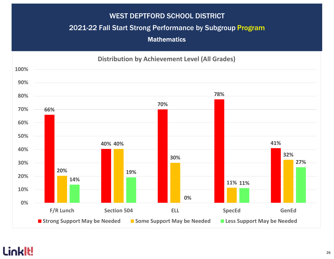#### 2021-22 Fall Start Strong Performance by Subgroup Program

**Mathematics** 

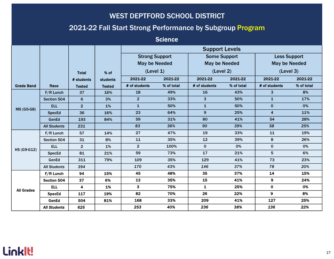### 2021-22 Fall Start Strong Performance by Subgroup Program

**Science** 

|                   |                     |                  |                 | <b>Support Levels</b> |            |                      |            |                         |            |  |
|-------------------|---------------------|------------------|-----------------|-----------------------|------------|----------------------|------------|-------------------------|------------|--|
|                   |                     |                  |                 | <b>Strong Support</b> |            | <b>Some Support</b>  |            | <b>Less Support</b>     |            |  |
|                   |                     |                  |                 | <b>May be Needed</b>  |            | <b>May be Needed</b> |            | <b>May be Needed</b>    |            |  |
|                   |                     | <b>Total</b>     | % of            | (Level 1)             |            | (Level 2)            |            | (Level 3)               |            |  |
|                   |                     | # students       | <b>students</b> | 2021-22               | 2021-22    | 2021-22              | 2021-22    | 2021-22                 | 2021-22    |  |
| <b>Grade Band</b> | Race                | <b>Tested</b>    | <b>Tested</b>   | # of students         | % of total | # of students        | % of total | # of students           | % of total |  |
|                   | $F/R$ Lunch         | 37               | 16%             | 18                    | 49%        | 16                   | 43%        | $\mathbf{3}$            | 8%         |  |
|                   | Section 504         | $6 \overline{6}$ | 3%              | $\overline{2}$        | 33%        | $\mathbf{3}$         | 50%        | $\mathbf{1}$            | 17%        |  |
| <b>MS (G5-G8)</b> | <b>ELL</b>          | 2 <sup>1</sup>   | 1%              | $\mathbf{1}$          | 50%        | $\mathbf{1}$         | 50%        | $\mathbf 0$             | 0%         |  |
|                   | <b>SpecEd</b>       | 36               | 16%             | 23                    | 64%        | 9                    | 25%        | $\overline{\mathbf{4}}$ | 11%        |  |
|                   | GenEd               | 193              | 84%             | 59                    | 31%        | 80                   | 41%        | 54                      | 28%        |  |
|                   | <b>All Students</b> | 231              |                 | 83                    | 36%        | 90                   | 39%        | 58                      | 25%        |  |
|                   | $F/R$ Lunch         | 57               | 14%             | 27                    | 47%        | 19                   | 33%        | 11                      | 19%        |  |
|                   | Section 504         | 31               | 8%              | 11                    | 35%        | 12                   | 39%        | 8                       | 26%        |  |
| HS (G9-G12)       | <b>ELL</b>          | 2 <sup>1</sup>   | 1%              | $\overline{2}$        | 100%       | $\mathbf 0$          | 0%         | $\mathbf 0$             | 0%         |  |
|                   | <b>SpecEd</b>       | 81               | 21%             | 59                    | 73%        | 17                   | 21%        | 5                       | 6%         |  |
|                   | GenEd               | 311              | 79%             | 109                   | 35%        | 129                  | 41%        | 73                      | 23%        |  |
|                   | <b>All Students</b> | 394              |                 | 170                   | 43%        | 146                  | 37%        | 78                      | 20%        |  |
|                   | F/R Lunch           | 94               | 15%             | 45                    | 48%        | 35                   | 37%        | 14                      | 15%        |  |
|                   | Section 504         | 37               | 6%              | 13                    | 35%        | 15                   | 41%        | 9                       | 24%        |  |
| <b>All Grades</b> | <b>ELL</b>          | 4                | 1%              | $\mathbf{3}$          | 75%        | 1                    | 25%        | $\mathbf 0$             | 0%         |  |
|                   | <b>SpecEd</b>       | 117              | 19%             | 82                    | 70%        | 26                   | 22%        | 9                       | 8%         |  |
|                   | GenEd               | 504              | 81%             | 168                   | 33%        | 209                  | 41%        | 127                     | 25%        |  |
|                   | <b>All Students</b> | 625              |                 | 253                   | 40%        | 236                  | 38%        | 136                     | 22%        |  |